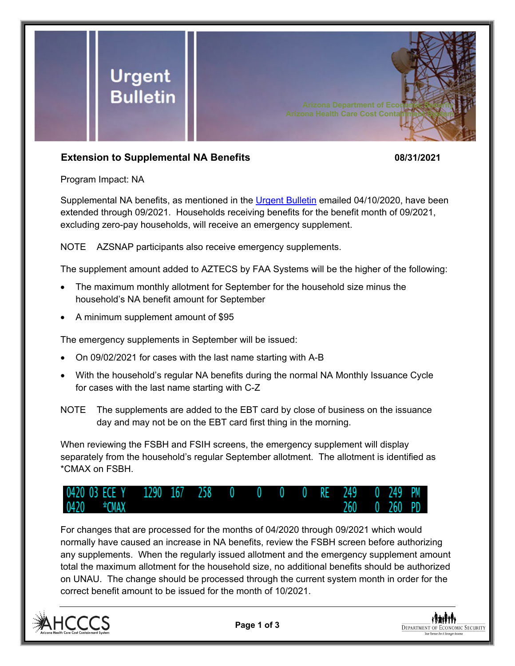

## **Extension to Supplemental NA Benefits 08/31/2021**

Program Impact: NA

Supplemental NA benefits, as mentioned in the [Urgent Bulletin](https://dbmefaapolicy.azdes.gov/FAA5/baggage/Urgent%20Bulletin%20(04-10-2020)%20-%20Supplemental%20Nutrition%20Assistance%20Benefits%20for%20Participants.pdf) emailed 04/10/2020, have been extended through 09/2021. Households receiving benefits for the benefit month of 09/2021, excluding zero-pay households, will receive an emergency supplement.

NOTE AZSNAP participants also receive emergency supplements.

The supplement amount added to AZTECS by FAA Systems will be the higher of the following:

- The maximum monthly allotment for September for the household size minus the household's NA benefit amount for September
- A minimum supplement amount of \$95

The emergency supplements in September will be issued:

- On 09/02/2021 for cases with the last name starting with A-B
- With the household's regular NA benefits during the normal NA Monthly Issuance Cycle for cases with the last name starting with C-Z
- NOTE The supplements are added to the EBT card by close of business on the issuance day and may not be on the EBT card first thing in the morning.

When reviewing the FSBH and FSIH screens, the emergency supplement will display separately from the household's regular September allotment. The allotment is identified as \*CMAX on FSBH.



For changes that are processed for the months of 04/2020 through 09/2021 which would normally have caused an increase in NA benefits, review the FSBH screen before authorizing any supplements. When the regularly issued allotment and the emergency supplement amount total the maximum allotment for the household size, no additional benefits should be authorized on UNAU. The change should be processed through the current system month in order for the correct benefit amount to be issued for the month of 10/2021.



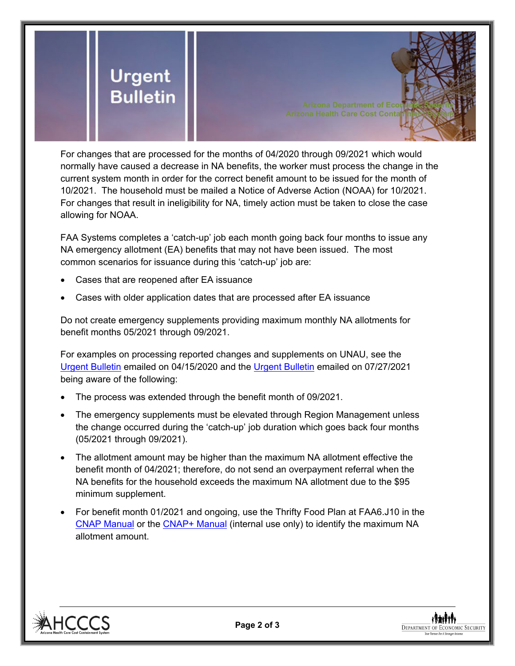

For changes that are processed for the months of 04/2020 through 09/2021 which would normally have caused a decrease in NA benefits, the worker must process the change in the current system month in order for the correct benefit amount to be issued for the month of 10/2021. The household must be mailed a Notice of Adverse Action (NOAA) for 10/2021. For changes that result in ineligibility for NA, timely action must be taken to close the case allowing for NOAA.

FAA Systems completes a 'catch-up' job each month going back four months to issue any NA emergency allotment (EA) benefits that may not have been issued. The most common scenarios for issuance during this 'catch-up' job are:

- Cases that are reopened after EA issuance
- Cases with older application dates that are processed after EA issuance

Do not create emergency supplements providing maximum monthly NA allotments for benefit months 05/2021 through 09/2021.

For examples on processing reported changes and supplements on UNAU, see the [Urgent Bulletin](https://dbmefaapolicy.azdes.gov/Archived_Policy/baggage/Urgent%20Bulletin%20(04-15-2020)%20-%20Reported%20Changes%20and%20Supplements%20on%20UNAU.pdf) emailed on 04/15/2020 and the [Urgent Bulletin](https://dbmefaapolicy.azdes.gov/Archived_Policy/baggage/Urgent%20Bulletin%20(07-27-2021)%20-%20EA%20$95%20Minimum%20Clarification.pdf) emailed on 07/27/2021 being aware of the following:

- The process was extended through the benefit month of 09/2021.
- The emergency supplements must be elevated through Region Management unless the change occurred during the 'catch-up' job duration which goes back four months (05/2021 through 09/2021).
- The allotment amount may be higher than the maximum NA allotment effective the benefit month of 04/2021; therefore, do not send an overpayment referral when the NA benefits for the household exceeds the maximum NA allotment due to the \$95 minimum supplement.
- For benefit month 01/2021 and ongoing, use the Thrifty Food Plan at FAA6.J10 in the [CNAP Manual](https://dbmefaapolicy.azdes.gov/#page/FAA6/Thrifty_Food_Plan_(NA).html) or the [CNAP+ Manual](https://cnap4staff.azdes.gov/#page/FAA6/Thrifty_Food_Plan_(NA).html) (internal use only) to identify the maximum NA allotment amount.